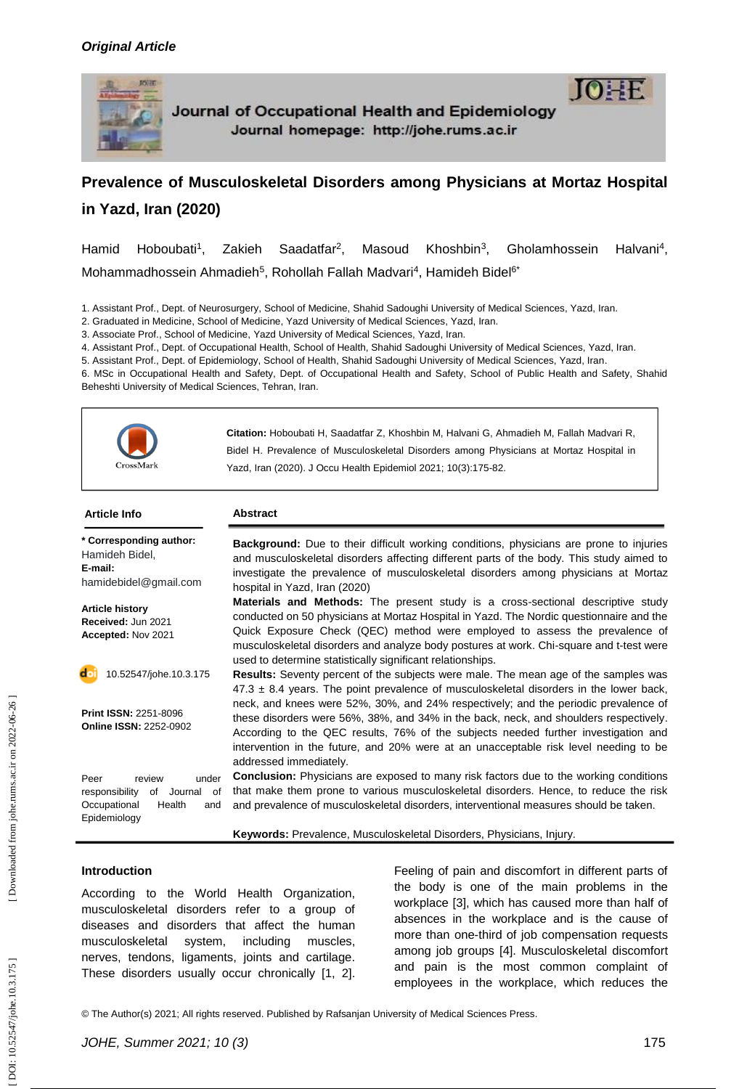

# **Prevalence of Musculoskeletal Disorders among Physicians at Mortaz Hospital in Yazd, Iran (2020)**

Hamid Hoboubati<sup>1</sup> , Zakieh Saadatfar 2 , Masoud Khoshbin 3 Gholamhossein 4 , Mohammadhossein Ahmadieh<sup>5</sup>, Rohollah Fallah Madvari<sup>4</sup>, Hamideh Bidel<sup>6\*</sup>

1. Assistant Prof., Dept. of Neurosurgery, School of Medicine, Shahid Sadoughi University of Medical Sciences, Yazd, Iran.

2. Graduated in Medicine, School of Medicine, Yazd University of Medical Sciences, Yazd, Iran.

3. Associate Prof., School of Medicine, Yazd University of Medical Sciences, Yazd, Iran. 4. Assistant Prof., Dept. of Occupational Health, School of Health, Shahid Sadoughi University of Medical Sciences, Yazd, Iran.

5. Assistant Prof., Dept. of Epidemiology, School of Health, Shahid Sadoughi University of Medical Sciences, Yazd, Iran .

6. MSc in Occupational Health and Safety, Dept. of Occupational Health and Safety, School of Public Health and Safety, Shahid Beheshti University of Medical Sciences, Tehran, Iran.



**Citation:** Hoboubati H, Saadatfar Z, Khoshbin M, Halvani G, Ahmadieh M, Fallah Madvari R, Bidel H. Prevalence of Musculoskeletal Disorders among Physicians at Mortaz Hospital in Yazd, Iran (2020). J Occu Health Epidemiol 2021; 10(3):175-82.

#### **Article Info Abstract**

**\* Corresponding author:** Hamideh Bidel , **E -mail:** [hamidebidel@gmail.com](mailto:hamidebidel@gmail.com)

**Article history Received:** Jun 202 1 **Accepted:** Nov 2021

do 10. 52547/johe.10 .3.17 5

**Print ISSN:** 2251 -8096 **Online ISSN:** 2252 -0902

Peer review under responsibility of Journal of Occupational Health and Epidemiology

**Background:** Due to their difficult working conditions, physicians are prone to injuries and musculoskeletal disorders affecting different parts of the body. This study aimed to investigate the prevalence of musculoskeletal disorders among physicians at Mortaz hospital in Yazd, Iran (2020)

**Materials and Methods:** The present study is a cross -sectional descriptive study conducted on 50 physicians at Mortaz Hospital in Yazd. The Nordic questionnaire and the Quick Exposure Check (QEC) method were employed to assess the prevalence of musculoskeletal disorders and analyze body postures at work. Chi -square and t -test were used to determine statistically significant relationships.

**Results:** Seventy percent of the subjects were male. The mean age of the samples was  $47.3 \pm 8.4$  years. The point prevalence of musculoskeletal disorders in the lower back, neck, and knees were 52%, 30%, and 24% respectively; and the periodic prevalence of these disorders were 56%, 38%, and 34% in the back, neck, and shoulders respectively. According to the QEC results, 76% of the subjects needed further investigation and intervention in the future, and 20% were at an unacceptable risk level needing to be addressed immediately.

**Conclusion:** Physicians are exposed to many risk factors due to the working conditions that make them prone to various musculoskeletal disorders. Hence, to reduce the risk and prevalence of musculoskeletal disorders, interventional measures should be taken.

Keywords: Prevalence, Musculoskeletal Disorders, Physicians, Injury.

### **Introduction**

According to the World Health Organization, musculoskeletal disorders refer to a group of diseases and disorders that affect the human musculoskeletal system, including muscles, nerves, tendons, ligaments, joints and cartilage. These disorders usually occur chronically [1, 2].

Feeling of pain and discomfort in different parts of the body is one of the main problems in the workplace [3], which has caused more than half of absences in the workplace and is the cause of more than one -third of job compensation requests among job groups [4]. Musculoskeletal discomfort and pain is the most common complaint of employees in the workplace, which reduces the

© The Author(s) 2021; All rights reserved. Published by Rafsanjan University of Medical Sciences Press.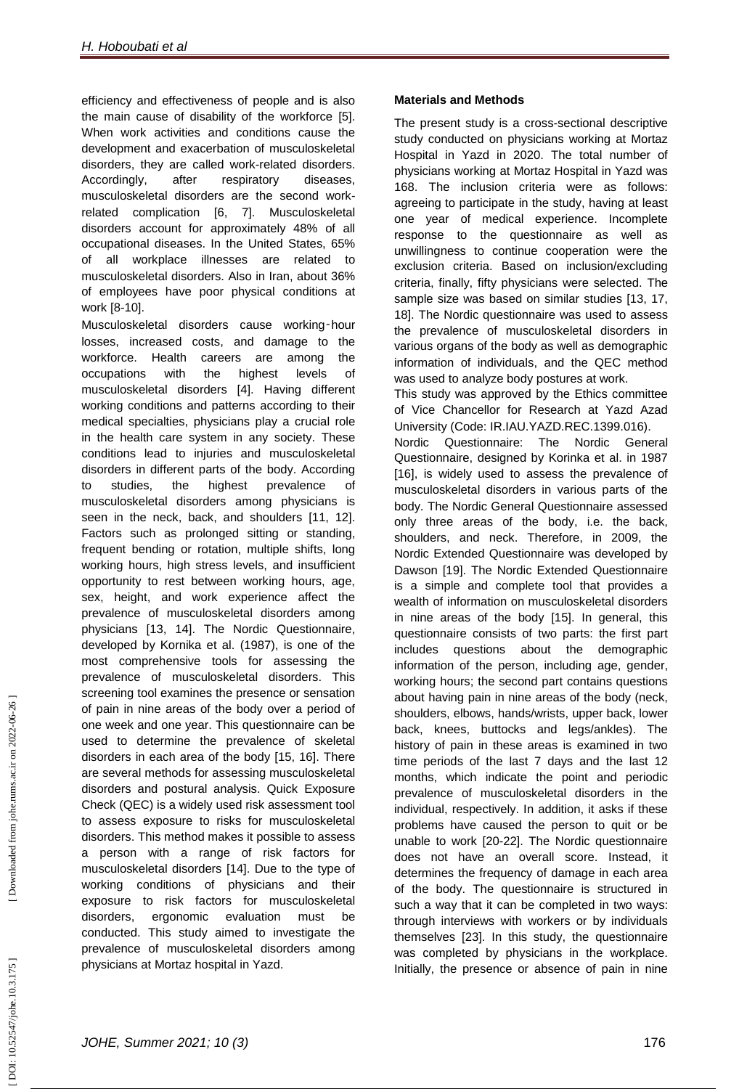efficiency and effectiveness of people and is also the main cause of disability of the workforce [5]. When work activities and conditions cause the development and exacerbation of musculoskeletal disorders, they are called work -related disorders. Accordingly, after respiratory diseases, musculoskeletal disorders are the second work related complication [6, 7]. Musculoskeletal disorders account for approximately 48% of all occupational diseases. In the United States, 65% of all workplace illnesses are related to musculoskeletal disorders. Also in Iran, about 36% of employees have poor physical conditions at work [8 -10].

Musculoskeletal disorders cause working ‑hour losses, increased costs, and damage to the workforce. Health careers are among the occupations with the highest levels of musculoskeletal disorders [4]. Having different working conditions and patterns according to their medical specialties, physicians play a crucial role in the health care system in any society. These conditions lead to injuries and musculoskeletal disorders in different parts of the body. According to studies, the highest prevalence of musculoskeletal disorders among physicians is seen in the neck, back, and shoulders [11, 12]. Factors such as prolonged sitting or standing, frequent bending or rotation, multiple shifts, long working hours, high stress levels, and insufficient opportunity to rest between working hours, age, sex, height, and work experience affect the prevalence of musculoskeletal disorders among physicians [13, 14]. The Nordic Questionnaire, developed by Kornika et al. (1987), is one of the most comprehensive tools for assessing the prevalence of musculoskeletal disorders. This screening tool examines the presence or sensation of pain in nine areas of the body over a period of one week and one year. This questionnaire can be used to determine the prevalence of skeletal disorders in each area of the body [15, 16]. There are several methods for assessing musculoskeletal disorders and postural analysis. Quick Exposure Check (QEC) is a widely used risk assessment tool to assess exposure to risks for musculoskeletal disorders. This method makes it possible to assess a person with a range of risk factors for musculoskeletal disorders [14]. Due to the type of working conditions of physicians and their exposure to risk factors for musculoskeletal disorders, ergonomic evaluation must be conducted. This study aimed to investigate the prevalence of musculoskeletal disorders among physicians at Mortaz hospital in Yazd.

## **Materials and Methods**

The present study is a cross -sectional descriptive study conducted on physicians working at Mortaz Hospital in Yazd in 2020. The total number of physicians working at Mortaz Hospital in Yazd was 168. The inclusion criteria were as follows: agreeing to participate in the study, having at least one year of medical experience. Incomplete response to the questionnaire as well as unwillingness to continue cooperation were the exclusion criteria. Based on inclusion/excluding criteria, finally, fifty physicians were selected. The sample size was based on similar studies [13, 17, 18]. The Nordic questionnaire was used to assess the prevalence of musculoskeletal disorders in various organs of the body as well as demographic information of individuals, and the QEC method was used to analyze body postures at work.

This study was approved by the Ethics committee of Vice Chancellor for Research at Yazd Azad University (Code: IR.IAU.YAZD.REC.1399.016). Nordic Questionnaire: The Nordic General Questionnaire, designed by Korinka et al. in 1987 [16], is widely used to assess the prevalence of musculoskeletal disorders in various parts of the body. The Nordic General Questionnaire assessed only three areas of the body, i.e. the back, shoulders, and neck. Therefore, in 2009, the Nordic Extended Questionnaire was developed by Dawson [19]. The Nordic Extended Questionnaire is a simple and complete tool that provides a wealth of information on musculoskeletal disorders in nine areas of the body [15]. In general, this questionnaire consists of two parts: the first part includes questions about the demographic information of the person, including age, gender, working hours; the second part contains questions about having pain in nine areas of the body (neck, shoulders, elbows, hands/wrists, upper back, lower back, knees, buttocks and legs/ankles). The history of pain in these areas is examined in two time periods of the last 7 days and the last 12 months, which indicate the point and periodic prevalence of musculoskeletal disorders in the individual, respectively. In addition, it asks if these problems have caused the person to quit or be unable to work [20 -22]. The Nordic questionnaire does not have an overall score. Instead, it determines the frequency of damage in each area of the body. The questionnaire is structured in such a way that it can be completed in two ways: through interviews with workers or by individuals themselves [23]. In this study, the questionnaire was completed by physicians in the workplace. Initially, the presence or absence of pain in nine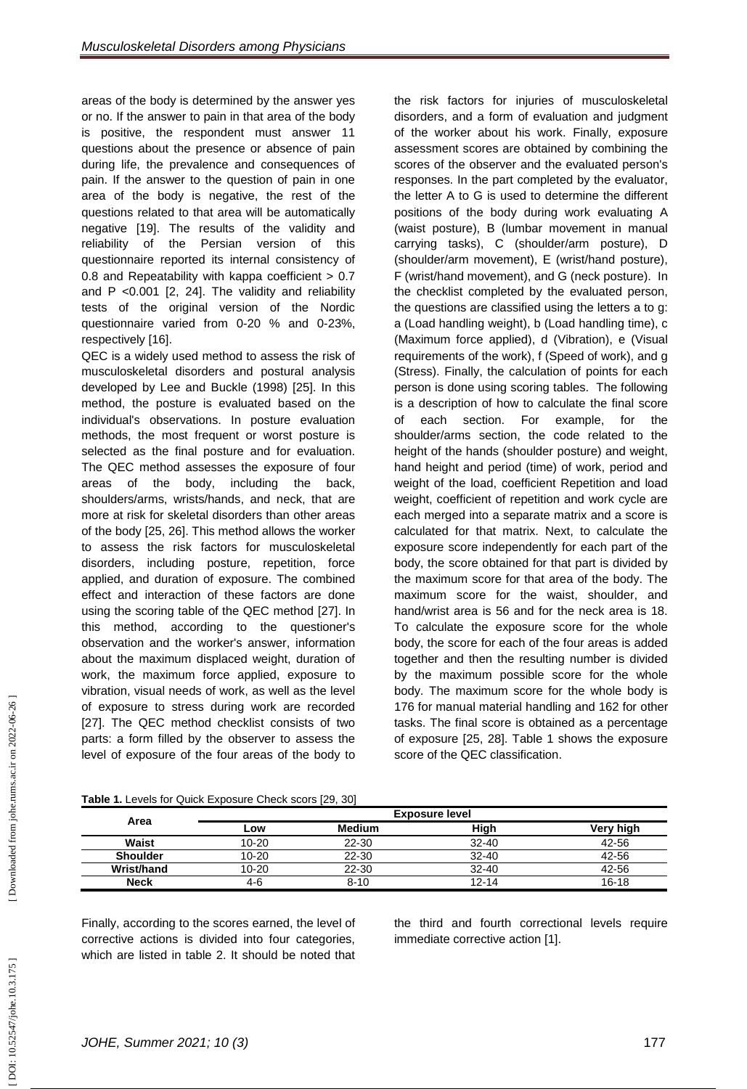areas of the body is determined by the answer yes or no. If the answer to pain in that area of the body is positive, the respondent must answer 11 questions about the presence or absence of pain during life, the prevalence and consequences of pain. If the answer to the question of pain in one area of the body is negative, the rest of the questions related to that area will be automatically negative [19]. The results of the validity and reliability of the Persian version of this questionnaire reported its internal consistency of 0.8 and Repeatability with kappa coefficient > 0.7 and P <0.001 [2, 24]. The validity and reliability tests of the original version of the Nordic questionnaire varied from 0 -20 % and 0 -23%, respectively [16].

QEC is a widely used method to assess the risk of musculoskeletal disorders and postural analysis developed by Lee and Buckle (1998) [25]. In this method, the posture is evaluated based on the individual's observations. In posture evaluation methods, the most frequent or worst posture is selected as the final posture and for evaluation. The QEC method assesses the exposure of four areas of the body, including the back, shoulders/arms, wrists/hands, and neck, that are more at risk for skeletal disorders than other areas of the body [25, 26]. This method allows the worker to assess the risk factors for musculoskeletal disorders, including posture, repetition, force applied, and duration of exposure. The combined effect and interaction of these factors are done using the scoring table of the QEC method [27]. In this method, according to the questioner's observation and the worker's answer, information about the maximum displaced weight, duration of work, the maximum force applied, exposure to vibration, visual needs of work, as well as the level of exposure to stress during work are recorded [27]. The QEC method checklist consists of two parts: a form filled by the observer to assess the level of exposure of the four areas of the body to

the risk factors for injuries of musculoskeletal disorders, and a form of evaluation and judgment of the worker about his work. Finally, exposure assessment scores are obtained by combining the scores of the observer and the evaluated person's responses. In the part completed by the evaluator, the letter A to G is used to determine the different positions of the body during work evaluating A (waist posture), B (lumbar movement in manual carrying tasks), C (shoulder/arm posture), D (shoulder/arm movement), E (wrist/hand posture), F (wrist/hand movement), and G (neck posture). In the checklist completed by the evaluated person, the questions are classified using the letters a to g: a (Load handling weight), b (Load handling time), c (Maximum force applied), d (Vibration), e (Visual requirements of the work), f (Speed of work), and g (Stress). Finally, the calculation of points for each person is done using scoring tables. The following is a description of how to calculate the final score of each section. For example, for the shoulder/arms section, the code related to the height of the hands (shoulder posture) and weight, hand height and period (time) of work, period and weight of the load, coefficient Repetition and load weight, coefficient of repetition and work cycle are each merged into a separate matrix and a score is calculated for that matrix. Next, to calculate the exposure score independently for each part of the body, the score obtained for that part is divided by the maximum score for that area of the body. The maximum score for the waist, shoulder, and hand/wrist area is 56 and for the neck area is 18. To calculate the exposure score for the whole body, the score for each of the four areas is added together and then the resulting number is divided by the maximum possible score for the whole body. The maximum score for the whole body is 176 for manual material handling and 162 for other tasks. The final score is obtained as a percentage of exposure [25, 28]. Table 1 shows the exposure score of the QEC classification.

|                   | <b>Exposure level</b> |               |           |           |  |
|-------------------|-----------------------|---------------|-----------|-----------|--|
| Area              | LOW                   | <b>Medium</b> | High      | Very high |  |
| Waist             | $10 - 20$             | 22-30         | $32 - 40$ | 42-56     |  |
| <b>Shoulder</b>   | 10-20                 | 22-30         | $32 - 40$ | 42-56     |  |
| <b>Wrist/hand</b> | 10-20                 | 22-30         | $32 - 40$ | 42-56     |  |
| <b>Neck</b>       | 4-6                   | $8 - 10$      | 12-14     | 16-18     |  |

**Table 1.** Levels for Quick Exposure Check scors [29, 30]

Finally, according to the scores earned, the level of corrective actions is divided into four categories, which are listed in table 2. It should be noted that

the third and fourth correctional levels require immediate corrective action [1].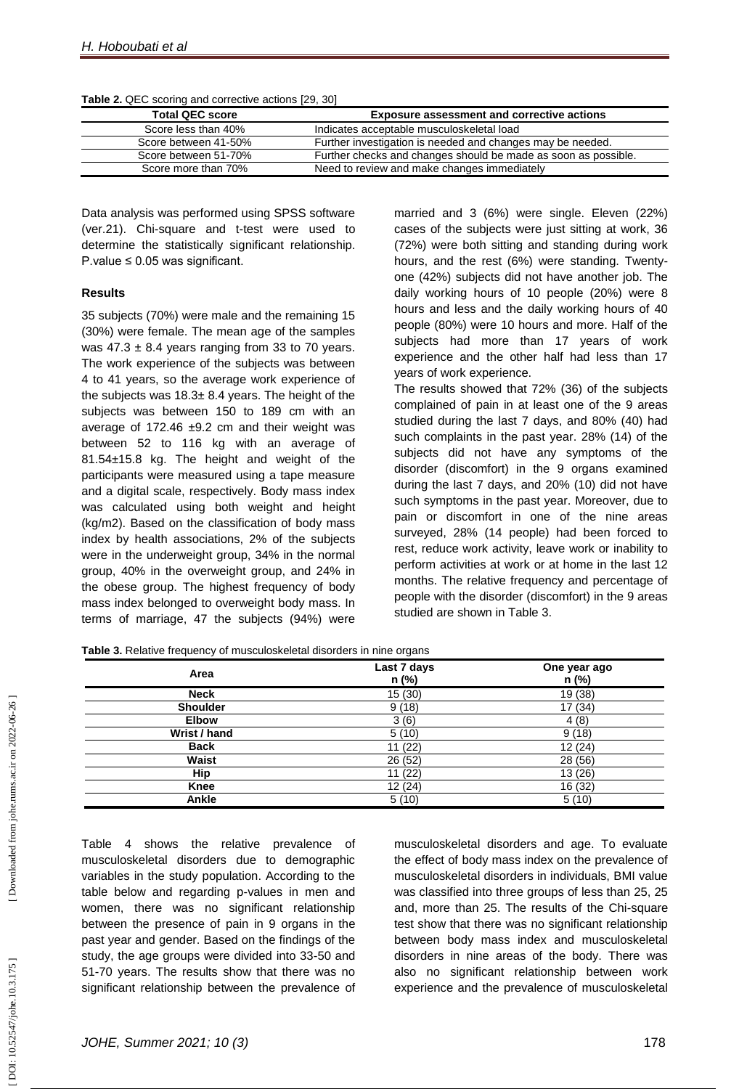| Table 2. QEC scoring and corrective actions [29, 30] |  |
|------------------------------------------------------|--|
|------------------------------------------------------|--|

| <b>Total QEC score</b> | <b>Exposure assessment and corrective actions</b>              |
|------------------------|----------------------------------------------------------------|
| Score less than 40%    | Indicates acceptable musculoskeletal load                      |
| Score between 41-50%   | Further investigation is needed and changes may be needed.     |
| Score between 51-70%   | Further checks and changes should be made as soon as possible. |
| Score more than 70%    | Need to review and make changes immediately                    |

Data analysis was performed using SPSS software (ver.21). Chi -square and t -test were used to determine the statistically significant relationship. P.value  $\leq 0.05$  was significant.

### **Results**

35 subjects (70%) were male and the remaining 15 (30%) were female. The mean age of the samples was  $47.3 \pm 8.4$  years ranging from 33 to 70 years. The work experience of the subjects was between 4 to 41 years, so the average work experience of the subjects was  $18.3 \pm 8.4$  years. The height of the subjects was between 150 to 189 cm with an average of 172.46  $\pm$ 9.2 cm and their weight was between 52 to 116 kg with an average of 81.54±15.8 kg. The height and weight of the participants were measured using a tape measure and a digital scale, respectively. Body mass index was calculated using both weight and height (kg/m2). Based on the classification of body mass index by health associations, 2% of the subjects were in the underweight group, 34% in the normal group, 40% in the overweight group, and 24% in the obese group. The highest frequency of body mass index belonged to overweight body mass. In terms of marriage, 47 the subjects (94%) were

married and 3 (6%) were single. Eleven (22%) cases of the subjects were just sitting at work, 36 (72%) were both sitting and standing during work hours, and the rest (6%) were standing. Twenty one (42%) subjects did not have another job. The daily working hours of 10 people (20%) were 8 hours and less and the daily working hours of 40 people (80%) were 10 hours and more. Half of the subjects had more than 17 years of work experience and the other half had less than 17 years of work experience.

The results showed that 72% (36) of the subjects complained of pain in at least one of the 9 areas studied during the last 7 days, and 80% (40) had such complaints in the past year. 28% (14) of the subjects did not have any symptoms of the disorder (discomfort) in the 9 organs examined during the last 7 days, and 20% (10) did not have such symptoms in the past year. Moreover, due to pain or discomfort in one of the nine areas surveyed, 28% (14 people) had been forced to rest, reduce work activity, leave work or inability to perform activities at work or at home in the last 12 months. The relative frequency and percentage of people with the disorder (discomfort) in the 9 areas studied are shown in Table 3.

| Table 3. Relative frequency of musculoskeletal disorders in nine organs |  |  |
|-------------------------------------------------------------------------|--|--|

| Area            | Last 7 days<br>n (%)   | One year ago<br>n (%) |
|-----------------|------------------------|-----------------------|
| <b>Neck</b>     | 15(30)                 | 19 (38)               |
| <b>Shoulder</b> | 9(18)                  | 17 (34)               |
| <b>Elbow</b>    | 3(6)                   | 4(8)                  |
| Wrist / hand    | 5 <sub>5</sub><br>(10) | 9(18)                 |
| <b>Back</b>     | 11(22)                 | 12(24)                |
| <b>Waist</b>    | 26 (52)                | 28 (56)               |
| <b>Hip</b>      | 11(22)                 | 13(26)                |
| Knee            | 12(24)                 | 16 (32)               |
| <b>Ankle</b>    | 5(10)                  | 5(10)                 |

Table 4 shows the relative prevalence of musculoskeletal disorders due to demographic variables in the study population. According to the table below and regarding p -values in men and women, there was no significant relationship between the presence of pain in 9 organs in the past year and gender. Based on the findings of the study, the age groups were divided into 33 -50 and 51 -70 years. The results show that there was no significant relationship between the prevalence of

musculoskeletal disorders and age. To evaluate the effect of body mass index on the prevalence of musculoskeletal disorders in individuals, BMI value was classified into three groups of less than 25, 25 and, more than 25. The results of the Chi -square test show that there was no significant relationship between body mass index and musculoskeletal disorders in nine areas of the body. There was also no significant relationship between work experience and the prevalence of musculoskeletal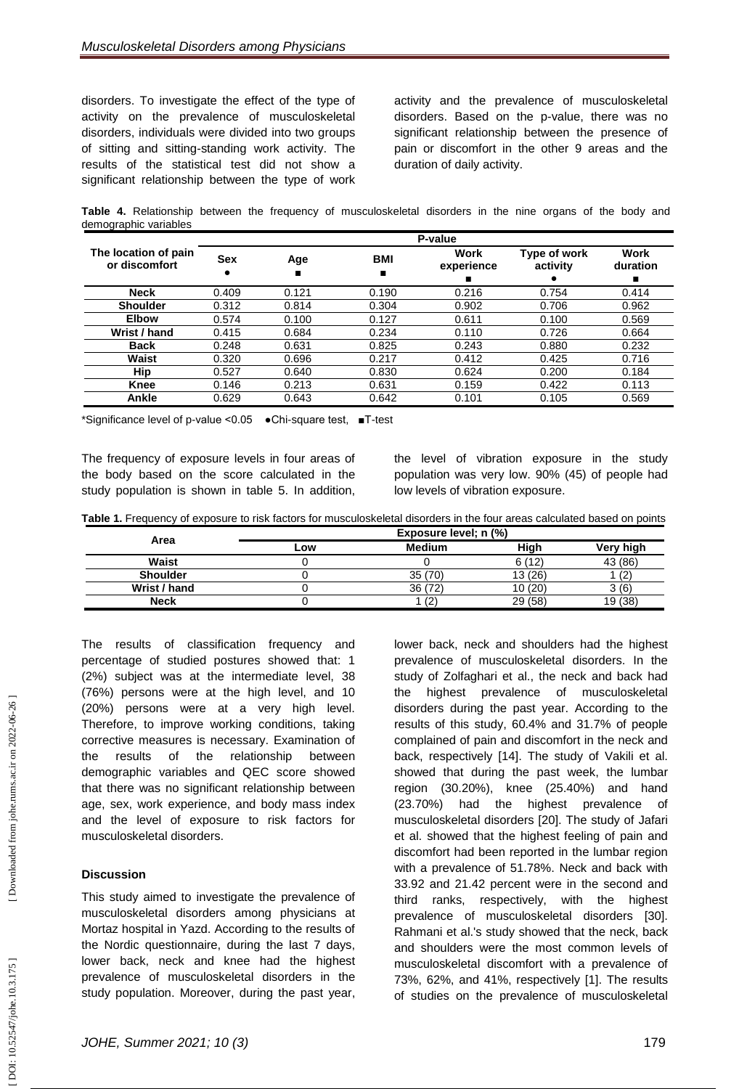disorders. To investigate the effect of the type of activity on the prevalence of musculoskeletal disorders, individuals were divided into two groups of sitting and sitting-standing work activity. The results of the statistical test did not show a significant relationship between the type of work

activity and the prevalence of musculoskeletal disorders. Based on the p -value, there was no significant relationship between the presence of pain or discomfort in the other 9 areas and the duration of daily activity.

**Table 4.** Relationship between the frequency of musculoskeletal disorders in the nine organs of the body and demographic variables

|                                       | P-value    |       |            |                         |                          |                              |
|---------------------------------------|------------|-------|------------|-------------------------|--------------------------|------------------------------|
| The location of pain<br>or discomfort | <b>Sex</b> | Age   | <b>BMI</b> | Work<br>experience<br>■ | Type of work<br>activity | <b>Work</b><br>duration<br>п |
| <b>Neck</b>                           | 0.409      | 0.121 | 0.190      | 0.216                   | 0.754                    | 0.414                        |
| <b>Shoulder</b>                       | 0.312      | 0.814 | 0.304      | 0.902                   | 0.706                    | 0.962                        |
| <b>Elbow</b>                          | 0.574      | 0.100 | 0.127      | 0.611                   | 0.100                    | 0.569                        |
| Wrist / hand                          | 0.415      | 0.684 | 0.234      | 0.110                   | 0.726                    | 0.664                        |
| <b>Back</b>                           | 0.248      | 0.631 | 0.825      | 0.243                   | 0.880                    | 0.232                        |
| Waist                                 | 0.320      | 0.696 | 0.217      | 0.412                   | 0.425                    | 0.716                        |
| Hip                                   | 0.527      | 0.640 | 0.830      | 0.624                   | 0.200                    | 0.184                        |
| <b>Knee</b>                           | 0.146      | 0.213 | 0.631      | 0.159                   | 0.422                    | 0.113                        |
| Ankle                                 | 0.629      | 0.643 | 0.642      | 0.101                   | 0.105                    | 0.569                        |

\*Significance level of p -value <0.05 ●Chi -square test, ■T -test

The frequency of exposure levels in four areas of the body based on the score calculated in the study population is shown in table 5. In addition,

the level of vibration exposure in the study population was very low. 90% (45) of people had low levels of vibration exposure.

**Table 1 .** Frequency of exposure to risk factors for musculoskeletal disorders in the four areas calculated based on points

|                 | Exposure level; n (%) |               |         |           |  |
|-----------------|-----------------------|---------------|---------|-----------|--|
| Area            | Low                   | <b>Medium</b> | High    | Very high |  |
| <b>Waist</b>    |                       |               | 6(12)   | 43 (86)   |  |
| <b>Shoulder</b> |                       | 35(70)        | 13(26)  | $\sim$    |  |
| Wrist / hand    |                       | 36 (72)       | 10(20)  | 3(6)      |  |
| <b>Neck</b>     |                       | (2)           | 29 (58) | 19 (38)   |  |

The results of classification frequency and percentage of studied postures showed that: 1 (2%) subject was at the intermediate level, 38 (76%) persons were at the high level, and 10 (20%) persons were at a very high level. Therefore, to improve working conditions, taking corrective measures is necessary. Examination of the results of the relationship between demographic variables and QEC score showed that there was no significant relationship between age, sex, work experience, and body mass index and the level of exposure to risk factors for musculoskeletal disorders.

## **Discussion**

This study aimed to investigate the prevalence of musculoskeletal disorders among physicians at Mortaz hospital in Yazd. According to the results of the Nordic questionnaire, during the last 7 days, lower back, neck and knee had the highest prevalence of musculoskeletal disorders in the study population. Moreover, during the past year,

lower back, neck and shoulders had the highest prevalence of musculoskeletal disorders. In the study of Zolfaghari et al., the neck and back had the highest prevalence of musculoskeletal disorders during the past year. According to the results of this study, 60.4% and 31.7% of people complained of pain and discomfort in the neck and back, respectively [14]. The study of Vakili et al. showed that during the past week, the lumbar region (30.20%), knee (25.40%) and hand (23.70%) had the highest prevalence of musculoskeletal disorders [20]. The study of Jafari et al. showed that the highest feeling of pain and discomfort had been reported in the lumbar region with a prevalence of 51.78%. Neck and back with 33.92 and 21.42 percent were in the second and third ranks, respectively, with the highest prevalence of musculoskeletal disorders [30]. Rahmani et al.'s study showed that the neck, back and shoulders were the most common levels of musculoskeletal discomfort with a prevalence of 73%, 62%, and 41%, respectively [1]. The results of studies on the prevalence of musculoskeletal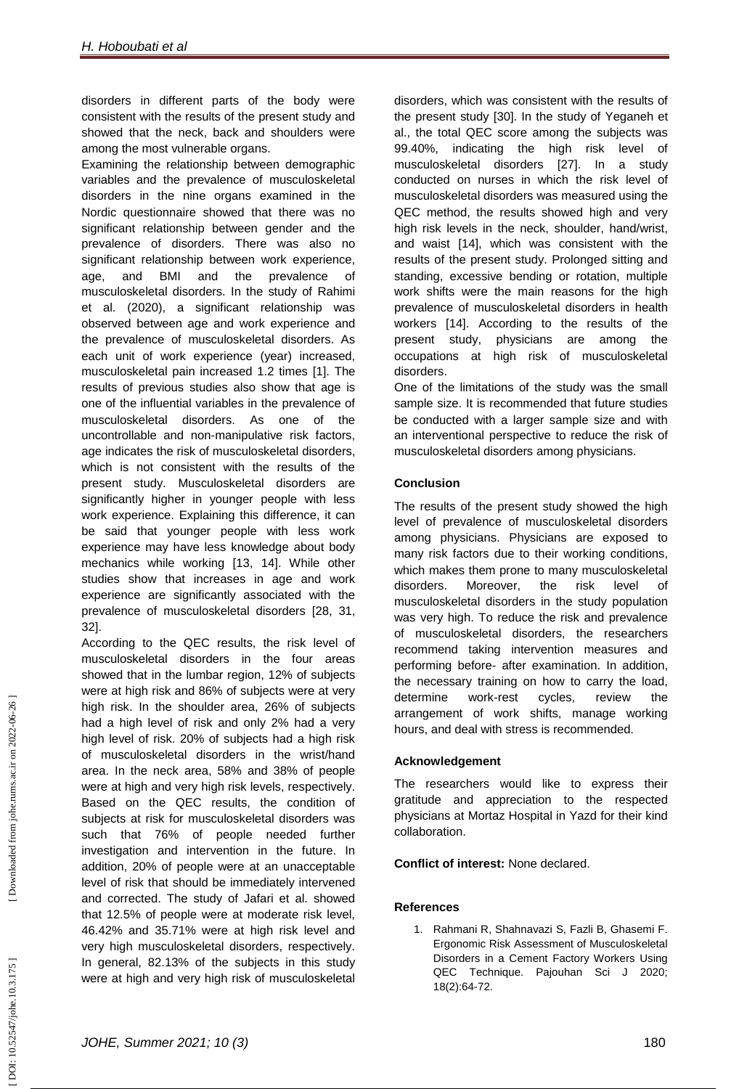disorders in different parts of the body were consistent with the results of the present study and showed that the neck, back and shoulders were among the most vulnerable organs.

Examining the relationship between demographic variables and the prevalence of musculoskeletal disorders in the nine organs examined in the Nordic questionnaire showed that there was no significant relationship between gender and the prevalence of disorders. There was also no significant relationship between work experience, age, and BMI and the prevalence of musculoskeletal disorders. In the study of Rahimi et al. (2020), a significant relationship was observed between age and work experience and the prevalence of musculoskeletal disorders. As each unit of work experience (year) increased, musculoskeletal pain increased 1.2 times [1]. The results of previous studies also show that age is one of the influential variables in the prevalence of musculoskeletal disorders. As one of the uncontrollable and non -manipulative risk factors, age indicates the risk of musculoskeletal disorders, which is not consistent with the results of the present study. Musculoskeletal disorders are significantly higher in younger people with less work experience. Explaining this difference, it can be said that younger people with less work experience may have less knowledge about body mechanics while working [13, 14]. While other studies show that increases in age and work experience are significantly associated with the prevalence of musculoskeletal disorders [28, 31, 32].

According to the QEC results, the risk level of musculoskeletal disorders in the four areas showed that in the lumbar region, 12% of subjects were at high risk and 86% of subjects were at very high risk. In the shoulder area, 26% of subjects had a high level of risk and only 2% had a very high level of risk. 20% of subjects had a high risk of musculoskeletal disorders in the wrist/hand area. In the neck area, 58% and 38% of people were at high and very high risk levels, respectively. Based on the QEC results, the condition of subjects at risk for musculoskeletal disorders was such that 76% of people needed further investigation and intervention in the future. In addition, 20% of people were at an unacceptable level of risk that should be immediately intervened and corrected. The study of Jafari et al. showed that 12.5% of people were at moderate risk level, 46.42% and 35.71% were at high risk level and very high musculoskeletal disorders, respectively. In general, 82.13% of the subjects in this study were at high and very high risk of musculoskeletal

disorders, which was consistent with the results of the present study [30]. In the study of Yeganeh et al., the total QEC score among the subjects was 99.40%, indicating the high risk level of musculoskeletal disorders [27]. In a study conducted on nurses in which the risk level of musculoskeletal disorders was measured using the QEC method, the results showed high and very high risk levels in the neck, shoulder, hand/wrist, and waist [14], which was consistent with the results of the present study. Prolonged sitting and standing, excessive bending or rotation, multiple work shifts were the main reasons for the high prevalence of musculoskeletal disorders in health workers [14]. According to the results of the present study, physicians are among the occupations at high risk of musculoskeletal disorders.

One of the limitations of the study was the small sample size. It is recommended that future studies be conducted with a larger sample size and with an interventional perspective to reduce the risk of musculoskeletal disorders among physicians.

## **Conclusion**

The results of the present study showed the high level of prevalence of musculoskeletal disorders among physicians. Physicians are exposed to many risk factors due to their working conditions, which makes them prone to many musculoskeletal disorders. Moreover, the risk level of musculoskeletal disorders in the study population was very high. To reduce the risk and prevalence of musculoskeletal disorders, the researchers recommend taking intervention measures and performing before - after examination. In addition, the necessary training on how to carry the load, determine work-rest cycles, review the arrangement of work shifts, manage working hours, and deal with stress is recommended.

### **Acknowledgement**

The researchers would like to express their gratitude and appreciation to the respected physicians at Mortaz Hospital in Yazd for their kind collaboration.

**Conflict of interest:** None declared.

## **References**

1. Rahmani R, Shahnavazi S, Fazli B, Ghasemi F. Ergonomic Risk Assessment of Musculoskeletal Disorders in a Cement Factory Workers Using QEC Technique. Pajouhan Sci J 2020; 18(2):64 -72.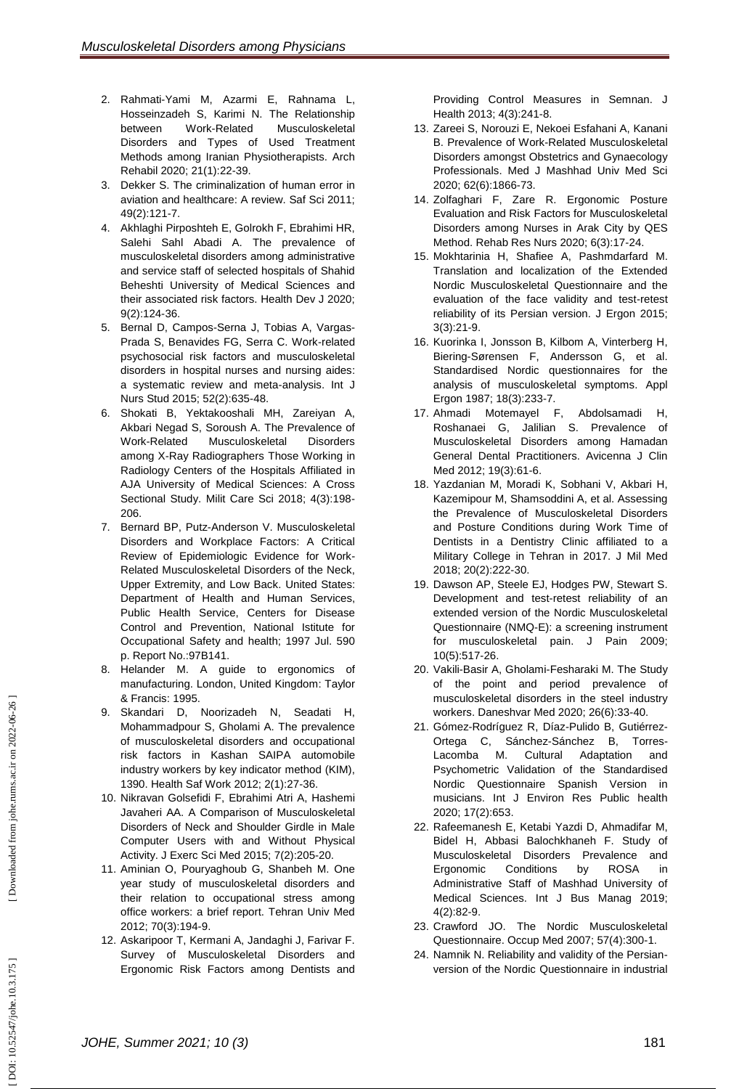- 2 . Rahmati -Yami M, Azarmi E, Rahnama L, Hosseinzadeh S, Karimi N. The Relationship between Work-Related Musculoskeletal Disorders and Types of Used Treatment Methods among Iranian Physiotherapists. Arch Rehabil 2020; 21(1):22 -39.
- 3 . Dekker S. The criminalization of human error in aviation and healthcare: A review. Saf Sci 2011; 49(2):121 -7.
- 4 . Akhlaghi Pirposhteh E, Golrokh F, Ebrahimi HR, Salehi Sahl Abadi A. The prevalence of musculoskeletal disorders among administrative and service staff of selected hospitals of Shahid Beheshti University of Medical Sciences and their associated risk factors. Health Dev J 2020; 9(2):124 -36.
- 5 . Bernal D, Campos -Serna J, Tobias A, Vargas Prada S, Benavides FG, Serra C. Work -related psychosocial risk factors and musculoskeletal disorders in hospital nurses and nursing aides: a systematic review and meta -analysis. Int J Nurs Stud 2015; 52(2):635 -48.
- 6 . Shokati B, Yektakooshali MH, Zareiyan A, Akbari Negad S, Soroush A. The Prevalence of Work-Related Musculoskeletal Disorders among X -Ray Radiographers Those Working in [Radiology Centers](http://mcs.ajaums.ac.ir/article-1-162-en.pdf) of the Hospitals Affiliated in AJA University of Medical Sciences: A Cross Sectional Study. Milit Care Sci 2018; 4(3):198 - 206.
- 7 . Bernard BP, Putz -Anderson V. Musculoskeletal Disorders and Workplace Factors: A Critical Review of Epidemiologic Evidence for Work - Related Musculoskeletal Disorders of the Neck, Upper Extremity, and Low Back. [United States:](https://www.google.com/search?sxsrf=AOaemvK22T-2adM47uP6VWImnQK8aPtB7g:1636957910089&q=Washington,+DC&stick=H4sIAAAAAAAAAOPgE-LQz9U3SKusLFQCs4oyzLK1tLKTrfTzi9IT8zKrEksy8_NQOFYZqYkphaWJRSWpRcWLWPnCE4szMvPSS_LzdBRcnHewMgIAhEgPFVYAAAA&sa=X&ved=2ahUKEwiHzfi135n0AhVdSPEDHcbOBxQQmxMoAXoECEUQAw) Department of Health and Human Services, Public Health Service, Centers for Disease Control and Prevention, National Istitute for Occupational Safety and health; 1997 Jul. 590 p. Report No.:97B141.
- 8 . Helander M. A guide to ergonomics of manufacturing. London, [United Kingdom:](https://en.wikipedia.org/wiki/United_Kingdom) Taylor & Francis: 1995.
- 9 . Skandari D, Noorizadeh N, Seadati H, Mohammadpour S, Gholami A. The prevalence of musculoskeletal disorders and occupational risk factors in Kashan SAIPA automobile industry workers by key indicator method (KIM), 1390. Health Saf Work 2012; 2(1):27 -36.
- 10 . Nikravan Golsefidi F, Ebrahimi Atri A, Hashemi Javaheri AA. A Comparison of Musculoskeletal Disorders of Neck and Shoulder Girdle in Male Computer Users with and Without Physical Activity. J Exerc Sci Med 2015; 7(2):205 -20.
- 11 . Aminian O, Pouryaghoub G, Shanbeh M. One year study of musculoskeletal disorders and their relation to occupational stress among office workers: a brief report. Tehran Univ Med 2012; 70(3):194 -9.
- 12 . Askaripoor T, Kermani A, Jandaghi J, Farivar F. Survey of Musculoskeletal Disorders and Ergonomic Risk Factors among Dentists and

Providing Control Measures in Semnan. J Health 2013; 4(3):241 -8.

- 13 . Zareei S, Norouzi E, Nekoei Esfahani A, Kanani B. Prevalence of Work -Related Musculoskeletal Disorders amongst Obstetrics and Gynaecology Professionals. Med J Mashhad Univ Med Sci 2020; 62(6):1866 -73.
- 14 . Zolfaghari F, Zare R. Ergonomic Posture Evaluation and Risk Factors for Musculoskeletal Disorders among Nurses in Arak City by QES Method. Rehab Res Nurs 2020; 6(3):17 -24.
- 15 . Mokhtarinia H, Shafiee A, Pashmdarfard M. Translation and localization of the Extended Nordic Musculoskeletal Questionnaire and the evaluation of the face validity and test -retest reliability of its Persian version. J Ergon 2015; 3(3):21 -9.
- 16 . Kuorinka I, Jonsson B, Kilbom A, Vinterberg H, Biering -Sørensen F, Andersson G, et al. Standardised Nordic questionnaires for the analysis of musculoskeletal symptoms. Appl Ergon 1987; 18(3):233 -7.
- 17. Ahmadi Motemayel F, Abdolsamadi H, Roshanaei G, Jalilian S. Prevalence of Musculoskeletal Disorders among Hamadan General Dental Practitioners. Avicenna J Clin Med 2012; 19(3):61-6.
- 18 . Yazdanian M, Moradi K, Sobhani V, Akbari H, Kazemipour M, Shamsoddini A, et al. Assessing the Prevalence of Musculoskeletal Disorders and Posture Conditions during Work Time of Dentists in a Dentistry Clinic affiliated to a Military College in Tehran in 2017. J Mil Med 2018; 20(2):222 -30.
- 19 . Dawson AP, Steele EJ, Hodges PW, Stewart S. Development and test-retest reliability of an extended version of the Nordic Musculoskeletal Questionnaire (NMQ -E): a screening instrument for musculoskeletal pain. J Pain 2009; 10(5):517 -26.
- 20 . Vakili -Basir A, Gholami -Fesharaki M. The Study of the point and period prevalence of musculoskeletal disorders in the steel industry workers. Daneshvar Med 2020; 26(6):33 -40.
- 21. Gómez-Rodríguez R, Díaz-Pulido B, Gutiérrez-Ortega C, Sánchez -Sánchez B, Torres - Lacomba M. Cultural Adaptation and Psychometric Validation of the Standardised Nordic Questionnaire Spanish Version in musicians. Int J Environ Res Public health 2020; 17(2):653.
- 22 . Rafeemanesh E, Ketabi Yazdi D, Ahmadifar M, Bidel H, Abbasi Balochkhaneh F. Study of Musculoskeletal Disorders Prevalence and Ergonomic Conditions by ROSA in Administrative Staff of Mashhad University of Medical Sciences. Int J Bus Manag 2019; 4(2):82 -9.
- 23 . Crawford JO. The Nordic Musculoskeletal Questionnaire. Occup Med 2007; 57(4):300 -1.
- 24 . Namnik N. Reliability and validity of the Persian version of the Nordic Questionnaire in industrial